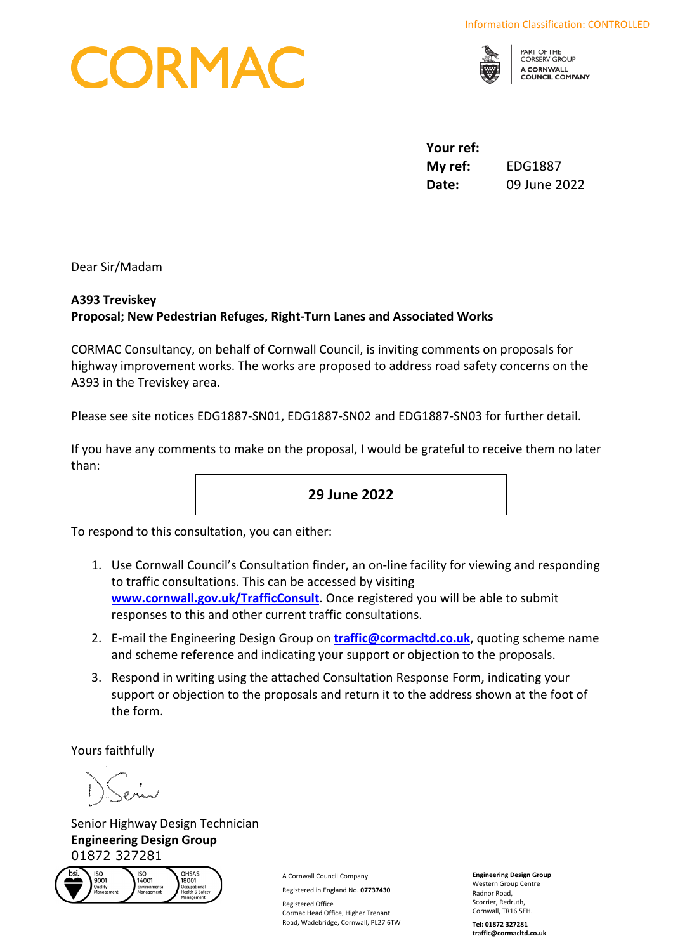## ORMA



PART OF THE<br>CORSERV GROUP A CORNWALL<br>COUNCIL COMPANY

**Your ref: My ref:** EDG1887 **Date:** 09 June 2022

Dear Sir/Madam

## **A393 Treviskey**

## **Proposal; New Pedestrian Refuges, Right-Turn Lanes and Associated Works**

CORMAC Consultancy, on behalf of Cornwall Council, is inviting comments on proposals for highway improvement works. The works are proposed to address road safety concerns on the A393 in the Treviskey area.

Please see site notices EDG1887-SN01, EDG1887-SN02 and EDG1887-SN03 for further detail.

If you have any comments to make on the proposal, I would be grateful to receive them no later than:

**29 June 2022**

To respond to this consultation, you can either:

- 1. Use Cornwall Council's Consultation finder, an on-line facility for viewing and responding to traffic consultations. This can be accessed by visiting **[www.cornwall.gov.uk/TrafficConsult](http://www.cornwall.gov.uk/TrafficConsult)**. Once registered you will be able to submit responses to this and other current traffic consultations.
- 2. E-mail the Engineering Design Group on **[traffic@cormacltd.co.uk](mailto:traffic@cormacltd.co.uk)**, quoting scheme name and scheme reference and indicating your support or objection to the proposals.
- 3. Respond in writing using the attached Consultation Response Form, indicating your support or objection to the proposals and return it to the address shown at the foot of the form.

Yours faithfully

Senior Highway Design Technician **Engineering Design Group** 01872 327281



A Cornwall Council Company Registered in England No. **07737430**

Registered Office Cormac Head Office, Higher Trenant Road, Wadebridge, Cornwall, PL27 6TW **Engineering Design Group** Western Group Centre Radnor Road, Scorrier, Redruth, Cornwall, TR16 5EH. **Tel: 01872 327281 traffic@cormacltd.co.uk**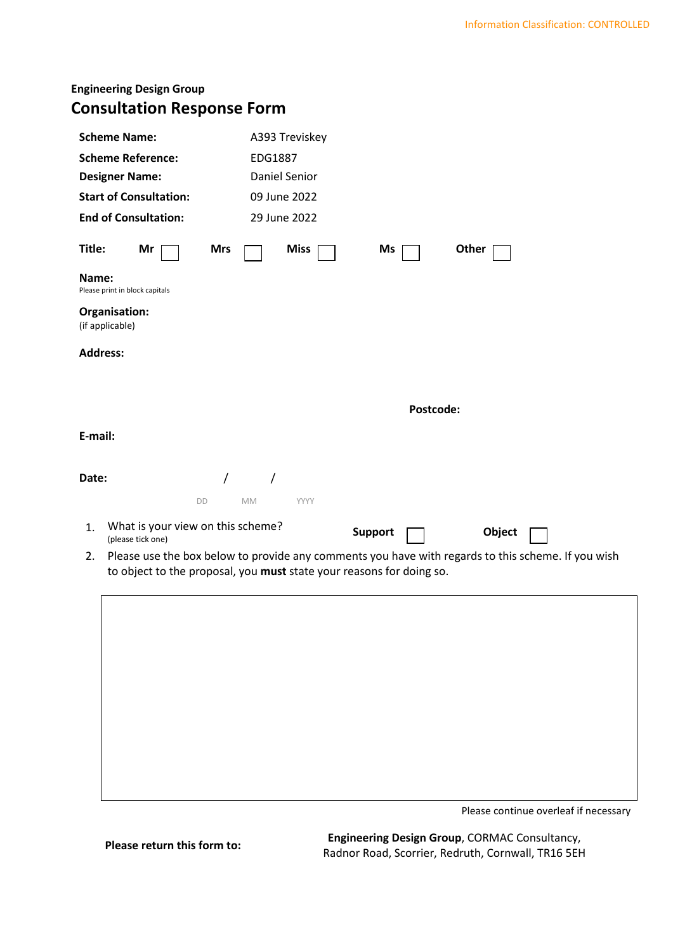| <b>Engineering Design Group</b>   |  |
|-----------------------------------|--|
| <b>Consultation Response Form</b> |  |

| <b>Scheme Name:</b>                     | A393 Treviskey                                                                                     |
|-----------------------------------------|----------------------------------------------------------------------------------------------------|
| <b>Scheme Reference:</b>                | EDG1887                                                                                            |
| <b>Designer Name:</b>                   | <b>Daniel Senior</b>                                                                               |
| <b>Start of Consultation:</b>           | 09 June 2022                                                                                       |
| <b>End of Consultation:</b>             | 29 June 2022                                                                                       |
| Title:<br>Mr                            | Other<br><b>Mrs</b><br><b>Miss</b><br>Ms                                                           |
| Name:<br>Please print in block capitals |                                                                                                    |
| Organisation:<br>(if applicable)        |                                                                                                    |
| <b>Address:</b>                         |                                                                                                    |
|                                         |                                                                                                    |
|                                         | Postcode:                                                                                          |
| E-mail:                                 |                                                                                                    |
|                                         |                                                                                                    |
|                                         |                                                                                                    |
|                                         |                                                                                                    |
| Date:                                   |                                                                                                    |
|                                         | YYYY<br>DD<br><b>MM</b>                                                                            |
| 1.<br>(please tick one)                 | What is your view on this scheme?<br><b>Support</b><br>Object                                      |
| 2.                                      | Please use the box below to provide any comments you have with regards to this scheme. If you wish |
|                                         | to object to the proposal, you must state your reasons for doing so.                               |
|                                         |                                                                                                    |
|                                         |                                                                                                    |
|                                         |                                                                                                    |
|                                         |                                                                                                    |
|                                         |                                                                                                    |
|                                         |                                                                                                    |
|                                         |                                                                                                    |
|                                         |                                                                                                    |
|                                         |                                                                                                    |
|                                         | Please continue overleaf if necessary                                                              |

**Please return this form to: Engineering Design Group**, CORMAC Consultancy, Radnor Road, Scorrier, Redruth, Cornwall, TR16 5EH